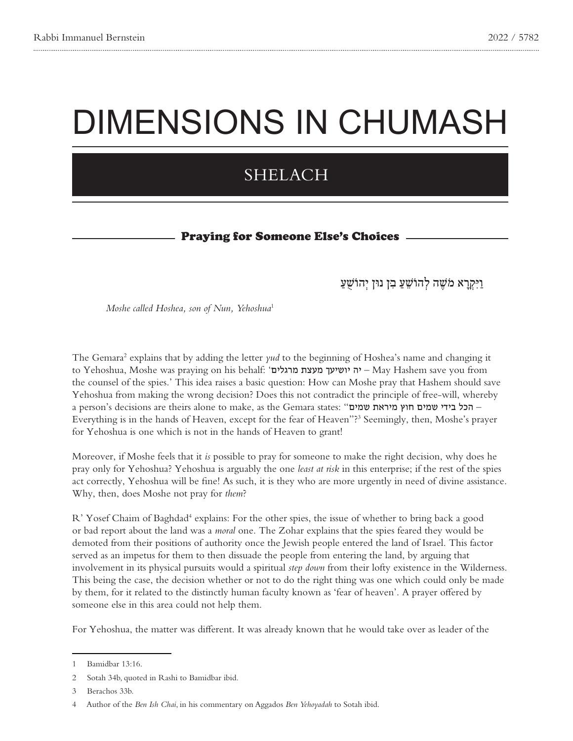# DIMENSIONS IN CHUMASH

## SHELACH

#### Praying for Someone Else's Choices

וַיִּקְ רָ א מֹ שֶ ׁה לְ הוֹשֵ ׁעַ בִ ּן נּון יְהוֹשֻׁעַ

*Moshe called Hoshea, son of Nun, Yehoshua<sup>1</sup>* 

The Gemara<sup>2</sup> explains that by adding the letter yud to the beginning of Hoshea's name and changing it from - יה יושיעך מעצת מרגלים' - May Hashem save you from - יה יושיעך מעצת מרגלים $\sim$  his behalf: יה אינשיעך מעצת the counsel of the spies.' This idea raises a basic question: How can Moshe pray that Hashem should save Yehoshua from making the wrong decision? Does this not contradict the principle of free-will, whereby a person's decisions are theirs alone to make, as the Gemara states: "הכל בידי שמים חוץ מיראת שמים" -Everything is in the hands of Heaven, except for the fear of Heaven"?<sup>3</sup> Seemingly, then, Moshe's prayer for Yehoshua is one which is not in the hands of Heaven to grant!

Moreover, if Moshe feels that it is possible to pray for someone to make the right decision, why does he pray only for Yehoshua? Yehoshua is arguably the one *least at risk* in this enterprise; if the rest of the spies act correctly, Yehoshua will be fine! As such, it is they who are more urgently in need of divine assistance. Why, then, does Moshe not pray for *them*?

R' Yosef Chaim of Baghdad<sup>4</sup> explains: For the other spies, the issue of whether to bring back a good or bad report about the land was a *moral* one. The Zohar explains that the spies feared they would be demoted from their positions of authority once the Jewish people entered the land of Israel. This factor served as an impetus for them to then dissuade the people from entering the land, by arguing that involvement in its physical pursuits would a spiritual *step down* from their lofty existence in the Wilderness. This being the case, the decision whether or not to do the right thing was one which could only be made by them, for it related to the distinctly human faculty known as 'fear of heaven'. A prayer offered by someone else in this area could not help them.

For Yehoshua, the matter was different. It was already known that he would take over as leader of the

<sup>1</sup> Bamidbar 13:16.

<sup>2</sup> Sotah 34b, quoted in Rashi to Bamidbar ibid.

<sup>3</sup> Berachos 33b.

<sup>4</sup> Author of the *Ben Ish Chai*, in his commentary on Aggados *Ben Yehoyadah* to Sotah ibid.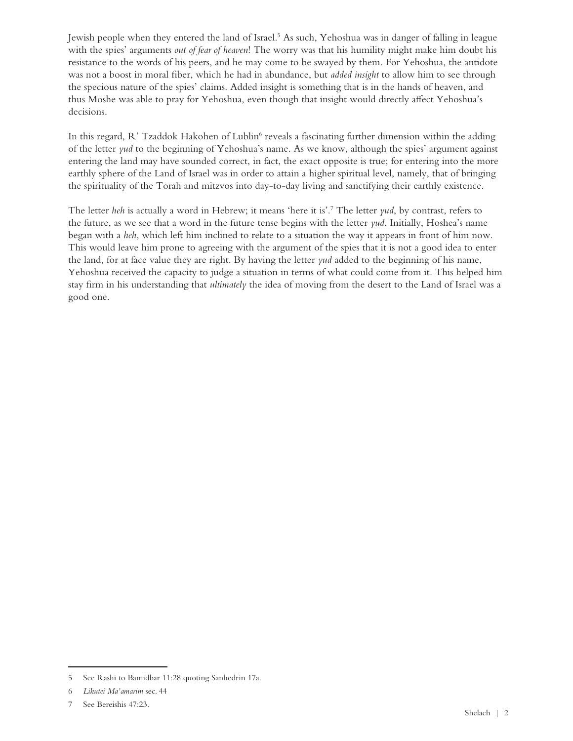Jewish people when they entered the land of Israel.<sup>5</sup> As such, Yehoshua was in danger of falling in league with the spies' arguments *out of fear of heaven*! The worry was that his humility might make him doubt his resistance to the words of his peers, and he may come to be swayed by them. For Yehoshua, the antidote was not a boost in moral fiber, which he had in abundance, but *added insight* to allow him to see through the specious nature of the spies' claims. Added insight is something that is in the hands of heaven, and thus Moshe was able to pray for Yehoshua, even though that insight would directly affect Yehoshua's decisions.

In this regard, R' Tzaddok Hakohen of Lublin<sup>6</sup> reveals a fascinating further dimension within the adding of the letter yud to the beginning of Yehoshua's name. As we know, although the spies' argument against entering the land may have sounded correct, in fact, the exact opposite is true; for entering into the more earthly sphere of the Land of Israel was in order to attain a higher spiritual level, namely, that of bringing the spirituality of the Torah and mitzvos into day-to-day living and sanctifying their earthly existence.

The letter heh is actually a word in Hebrew; it means 'here it is'.<sup>7</sup> The letter yud, by contrast, refers to the future, as we see that a word in the future tense begins with the letter *yud*. Initially, Hoshea's name began with a *heh*, which left him inclined to relate to a situation the way it appears in front of him now. This would leave him prone to agreeing with the argument of the spies that it is not a good idea to enter the land, for at face value they are right. By having the letter *yud* added to the beginning of his name, Yehoshua received the capacity to judge a situation in terms of what could come from it. This helped him stay firm in his understanding that *ultimately* the idea of moving from the desert to the Land of Israel was a good one.

<sup>5</sup> See Rashi to Bamidbar 11:28 quoting Sanhedrin 17a.

<sup>6</sup> Likutei Ma'amarim sec. 44

<sup>7</sup> See Bereishis 47:23.